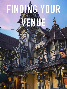## **FINDING YOUR**

**VENUE AVENUE** 

H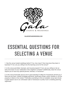

[GALAEVENTSANDWEDDINGS.COM](http://GALAEVENTSANDWEDDINGS.COM)

## **ESSENTIAL QUESTIONS FOR SELECTING A VENUE**

1. Has the venue hosted weddings before? If so, how many? How long have they been in business? If not, are you willing to be the learning curve for the venue?

2. Is the venue permitted, licensed, and insured properly? If not, are you willing to risk an early shut-down of your celebration if the neighbors complain? Additionally, does the venue require you to have any special permits, licenses, or insurance?

3. Is the venue financially secure and in good standing? A little bit of homework will tell you if there are any liens, missed mortgage payments, bankruptcy filings, and/or whether or not the property is listed on the market. Frantically scrambling to find an available venue last minute in peak season due to an unforeseen sale or foreclosure is pretty much a wedding planning nightmare!